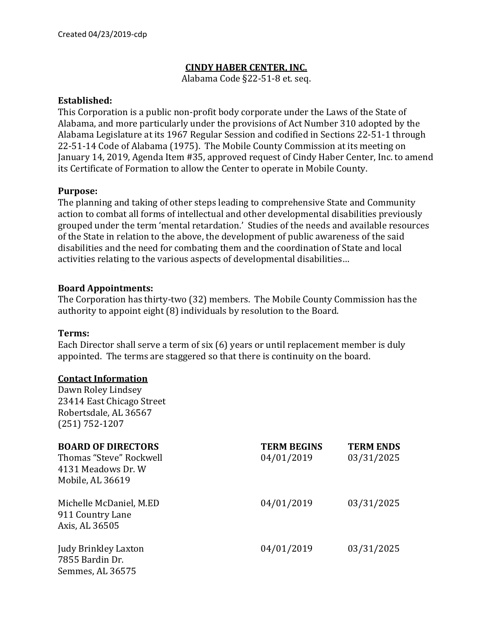## **CINDY HABER CENTER, INC.**

Alabama Code §22-51-8 et. seq.

#### **Established:**

This Corporation is a public non-profit body corporate under the Laws of the State of Alabama, and more particularly under the provisions of Act Number 310 adopted by the Alabama Legislature at its 1967 Regular Session and codified in Sections 22-51-1 through 22-51-14 Code of Alabama (1975). The Mobile County Commission at its meeting on January 14, 2019, Agenda Item #35, approved request of Cindy Haber Center, Inc. to amend its Certificate of Formation to allow the Center to operate in Mobile County.

### **Purpose:**

The planning and taking of other steps leading to comprehensive State and Community action to combat all forms of intellectual and other developmental disabilities previously grouped under the term 'mental retardation.' Studies of the needs and available resources of the State in relation to the above, the development of public awareness of the said disabilities and the need for combating them and the coordination of State and local activities relating to the various aspects of developmental disabilities…

### **Board Appointments:**

The Corporation has thirty-two (32) members. The Mobile County Commission has the authority to appoint eight (8) individuals by resolution to the Board.

#### **Terms:**

Each Director shall serve a term of six (6) years or until replacement member is duly appointed. The terms are staggered so that there is continuity on the board.

### **Contact Information**

Dawn Roley Lindsey 23414 East Chicago Street Robertsdale, AL 36567 (251) 752-1207

| <b>BOARD OF DIRECTORS</b><br>Thomas "Steve" Rockwell<br>4131 Meadows Dr. W<br>Mobile, AL 36619 | <b>TERM BEGINS</b><br>04/01/2019 | <b>TERM ENDS</b><br>03/31/2025 |
|------------------------------------------------------------------------------------------------|----------------------------------|--------------------------------|
| Michelle McDaniel, M.ED<br>911 Country Lane<br>Axis, AL 36505                                  | 04/01/2019                       | 03/31/2025                     |
| Judy Brinkley Laxton<br>7855 Bardin Dr.<br>Semmes, AL 36575                                    | 04/01/2019                       | 03/31/2025                     |